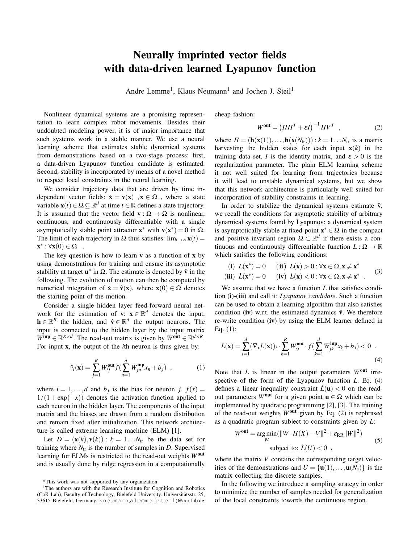## Neurally imprinted vector fields with data-driven learned Lyapunov function

Andre Lemme<sup>1</sup>, Klaus Neumann<sup>1</sup> and Jochen J. Steil<sup>1</sup>

Nonlinear dynamical systems are a promising representation to learn complex robot movements. Besides their undoubted modeling power, it is of major importance that such systems work in a stable manner. We use a neural learning scheme that estimates stable dynamical systems from demonstrations based on a two-stage process: first, a data-driven Lyapunov function candidate is estimated. Second, stability is incorporated by means of a novel method to respect local constraints in the neural learning.

We consider trajectory data that are driven by time independent vector fields:  $\dot{\mathbf{x}} = \mathbf{v}(\mathbf{x})$ ,  $\mathbf{x} \in \Omega$ , where a state variable  $\mathbf{x}(t) \in \Omega \subseteq \mathbb{R}^d$  at time  $t \in \mathbb{R}$  defines a state trajectory. It is assumed that the vector field  $\mathbf{v} : \Omega \to \Omega$  is nonlinear, continuous, and continuously differentiable with a single asymptotically stable point attractor  $\mathbf{x}^*$  with  $\mathbf{v}(\mathbf{x}^*) = 0$  in  $\Omega$ . The limit of each trajectory in  $\Omega$  thus satisfies:  $\lim_{t\to\infty}$ **x**(*t*) =  $\mathbf{x}^*: \forall \mathbf{x}(0) \in \Omega$ .

The key question is how to learn  $\bf{v}$  as a function of  $\bf{x}$  by using demonstrations for training and ensure its asymptotic stability at target  $\mathbf{u}^*$  in  $\Omega$ . The estimate is denoted by  $\hat{\mathbf{v}}$  in the following. The evolution of motion can then be computed by numerical integration of  $\dot{\mathbf{x}} = \hat{\mathbf{v}}(\mathbf{x})$ , where  $\mathbf{x}(0) \in \Omega$  denotes the starting point of the motion.

Consider a single hidden layer feed-forward neural network for the estimation of **v**:  $\mathbf{x} \in \mathbb{R}^d$  denotes the input,  $\mathbf{h} \in \mathbb{R}^R$  the hidden, and  $\hat{\mathbf{v}} \in \mathbb{R}^d$  the output neurons. The input is connected to the hidden layer by the input matrix  $W^{\text{inp}} \in \mathbb{R}^{R \times d}$ . The read-out matrix is given by  $W^{\text{out}} \in \mathbb{R}^{d \times R}$ . For input x, the output of the *i*th neuron is thus given by:

$$
\hat{v}_i(\mathbf{x}) = \sum_{j=1}^R W_{ij}^{\text{out}} f\left(\sum_{n=1}^d W_{jn}^{\text{inp}} x_n + b_j\right) , \qquad (1)
$$

where  $i = 1, \ldots, d$  and  $b_j$  is the bias for neuron *j.*  $f(x) =$  $1/(1 + \exp(-x))$  denotes the activation function applied to each neuron in the hidden layer. The components of the input matrix and the biases are drawn from a random distribution and remain fixed after initialization. This network architecture is called extreme learning machine (ELM) [1].

Let  $D = (\mathbf{x}(k), \mathbf{v}(k)) : k = 1...N_{tr}$  be the data set for training where  $N_{tr}$  is the number of samples in *D*. Supervised learning for ELMs is restricted to the read-out weights *W*out and is usually done by ridge regression in a computationally cheap fashion:

$$
W^{\text{out}} = \left( H H^T + \varepsilon I \right)^{-1} H V^T \quad , \tag{2}
$$

where  $H = (\mathbf{h}(\mathbf{x}(1)),...,\mathbf{h}(\mathbf{x}(N_{tr}))) : k = 1...N_{tr}$  is a matrix harvesting the hidden states for each input  $\mathbf{x}(k)$  in the training data set, *I* is the identity matrix, and  $\varepsilon > 0$  is the regularization parameter. The plain ELM learning scheme it not well suited for learning from trajectories because it will lead to unstable dynamical systems, but we show that this network architecture is particularly well suited for incorporation of stability constraints in learning.

In order to stabilize the dynamical systems estimate  $\hat{v}$ , we recall the conditions for asymptotic stability of arbitrary dynamical systems found by Lyapunov: a dynamical system is asymptotically stable at fixed-point  $x^* \in \Omega$  in the compact and positive invariant region  $\Omega \subset \mathbb{R}^d$  if there exists a continuous and continuously differentiable function  $L : \Omega \to \mathbb{R}$ which satisfies the following conditions:

(i) 
$$
L(\mathbf{x}^*) = 0
$$
 (ii)  $L(\mathbf{x}) > 0 : \forall \mathbf{x} \in \Omega, \mathbf{x} \neq \mathbf{x}^*$   
(iii)  $L(\mathbf{x}^*) = 0$  (iv)  $L(\mathbf{x}) < 0 : \forall \mathbf{x} \in \Omega, \mathbf{x} \neq \mathbf{x}^*$  (3)

We assume that we have a function *L* that satisfies condition (i)-(iii) and call it: *Lyapunov candidate*. Such a function can be used to obtain a learning algorithm that also satisfies condition (iv) w.r.t. the estimated dynamics  $\hat{v}$ . We therefore re-write condition (iv) by using the ELM learner defined in Eq. (1):

$$
\dot{L}(\mathbf{x}) = \sum_{i=1}^{d} (\nabla_{\mathbf{x}} L(\mathbf{x}))_i \cdot \sum_{k=1}^{R} W_{ij}^{\text{out}} \cdot f(\sum_{k=1}^{d} W_{jk}^{\text{inp}} x_k + b_j) < 0 \tag{4}
$$

Note that  $\dot{L}$  is linear in the output parameters  $W^{out}$  irrespective of the form of the Lyapunov function *L*. Eq. (4) defines a linear inequality constraint  $\dot{L}(\mathbf{u}) < 0$  on the readout parameters *W*<sup>out</sup> for a given point  $\mathbf{u} \in \Omega$  which can be implemented by quadratic programming [2], [3]. The training of the read-out weights *W*out given by Eq. (2) is rephrased as a quadratic program subject to constraints given by *L*:

$$
Wout = \underset{W}{\arg\min} (\|W \cdot H(X) - V\|^2 + \varepsilon_{\text{RR}} \|W\|^2)
$$
  
subject to:  $\dot{L}(U) < 0$ , (5)

where the matrix *V* contains the corresponding target velocities of the demonstrations and  $U = {\bf{u}}(1),...,{\bf{u}}(N_s)$  is the matrix collecting the discrete samples.

In the following we introduce a sampling strategy in order to minimize the number of samples needed for generalization of the local constraints towards the continuous region.

<sup>\*</sup>This work was not supported by any organization

<sup>&</sup>lt;sup>1</sup>The authors are with the Research Institute for Cognition and Robotics (CoR-Lab), Faculty of Technology, Bielefeld University. Universitätsstr. 25, 33615 Bielefeld, Germany. kneumann,alemme,jsteil)@cor-lab.de